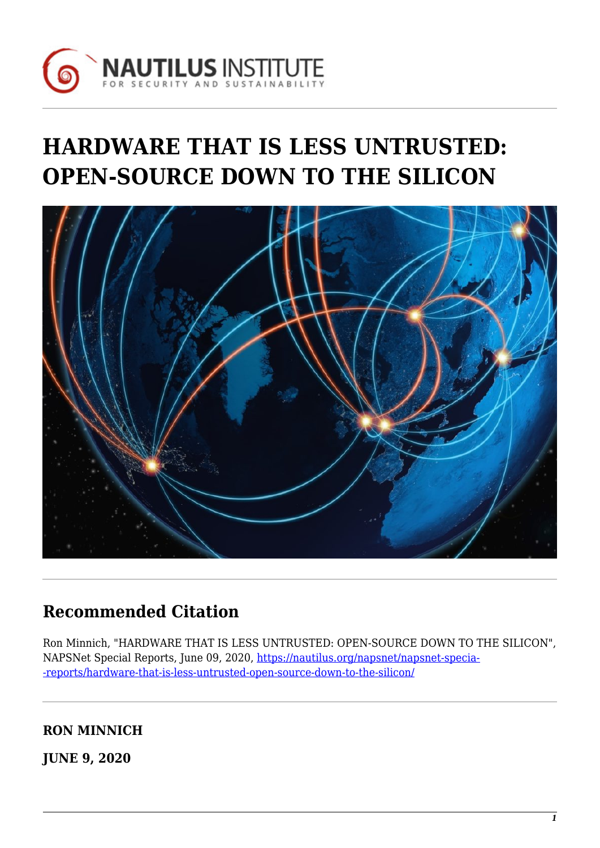

# **HARDWARE THAT IS LESS UNTRUSTED: OPEN-SOURCE DOWN TO THE SILICON**



# **Recommended Citation**

Ron Minnich, "HARDWARE THAT IS LESS UNTRUSTED: OPEN-SOURCE DOWN TO THE SILICON", NAPSNet Special Reports, June 09, 2020, [https://nautilus.org/napsnet/napsnet-specia-](https://nautilus.org/napsnet/napsnet-special-reports/hardware-that-is-less-untrusted-open-source-down-to-the-silicon/) [-reports/hardware-that-is-less-untrusted-open-source-down-to-the-silicon/](https://nautilus.org/napsnet/napsnet-special-reports/hardware-that-is-less-untrusted-open-source-down-to-the-silicon/)

**RON MINNICH**

**JUNE 9, 2020**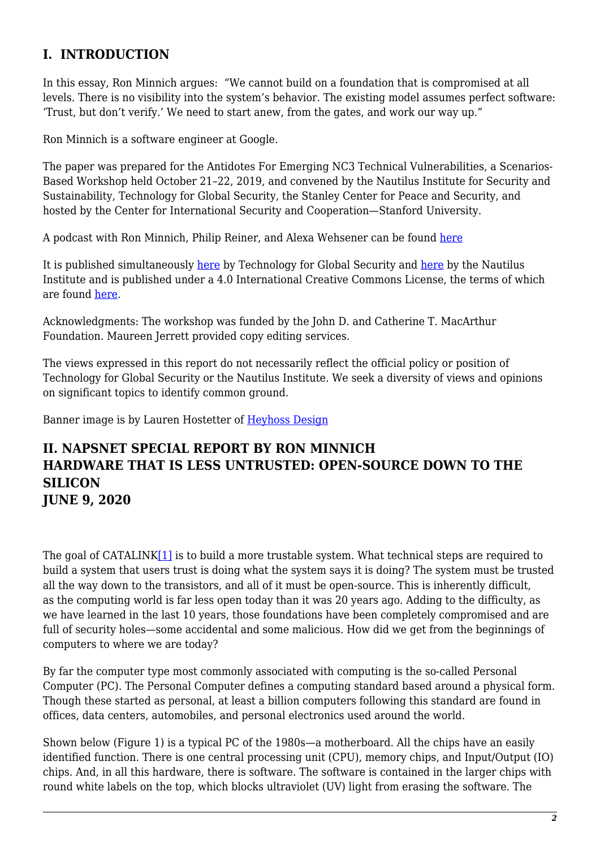## **I. INTRODUCTION**

In this essay, Ron Minnich argues: "We cannot build on a foundation that is compromised at all levels. There is no visibility into the system's behavior. The existing model assumes perfect software: 'Trust, but don't verify.' We need to start anew, from the gates, and work our way up."

Ron Minnich is a software engineer at Google.

The paper was prepared for the Antidotes For Emerging NC3 Technical Vulnerabilities, a Scenarios-Based Workshop held October 21–22, 2019, and convened by the Nautilus Institute for Security and Sustainability, Technology for Global Security, the Stanley Center for Peace and Security, and hosted by the Center for International Security and Cooperation—Stanford University.

A podcast with Ron Minnich, Philip Reiner, and Alexa Wehsener can be found [here](https://soundcloud.com/tech4gs)

It is published simultaneously [here](https://nautilus.org/?p=98281) by Technology for Global Security and here by the Nautilus Institute and is published under a 4.0 International Creative Commons License, the terms of which are found [here.](https://creativecommons.org/licenses/by-nc-sa/4.0/)

Acknowledgments: The workshop was funded by the John D. and Catherine T. MacArthur Foundation. Maureen Jerrett provided copy editing services.

The views expressed in this report do not necessarily reflect the official policy or position of Technology for Global Security or the Nautilus Institute. We seek a diversity of views and opinions on significant topics to identify common ground.

Banner image is by Lauren Hostetter of [Heyhoss Design](http://heyhoss.design/)

#### **II. NAPSNET SPECIAL REPORT BY RON MINNICH HARDWARE THAT IS LESS UNTRUSTED: OPEN-SOURCE DOWN TO THE SILICON JUNE 9, 2020**

<span id="page-1-0"></span>The goal of CATALINK[\[1\]](#page-5-0) is to build a more trustable system. What technical steps are required to build a system that users trust is doing what the system says it is doing? The system must be trusted all the way down to the transistors, and all of it must be open-source. This is inherently difficult, as the computing world is far less open today than it was 20 years ago. Adding to the difficulty, as we have learned in the last 10 years, those foundations have been completely compromised and are full of security holes—some accidental and some malicious. How did we get from the beginnings of computers to where we are today?

By far the computer type most commonly associated with computing is the so-called Personal Computer (PC). The Personal Computer defines a computing standard based around a physical form. Though these started as personal, at least a billion computers following this standard are found in offices, data centers, automobiles, and personal electronics used around the world.

Shown below (Figure 1) is a typical PC of the 1980s—a motherboard. All the chips have an easily identified function. There is one central processing unit (CPU), memory chips, and Input/Output (IO) chips. And, in all this hardware, there is software. The software is contained in the larger chips with round white labels on the top, which blocks ultraviolet (UV) light from erasing the software. The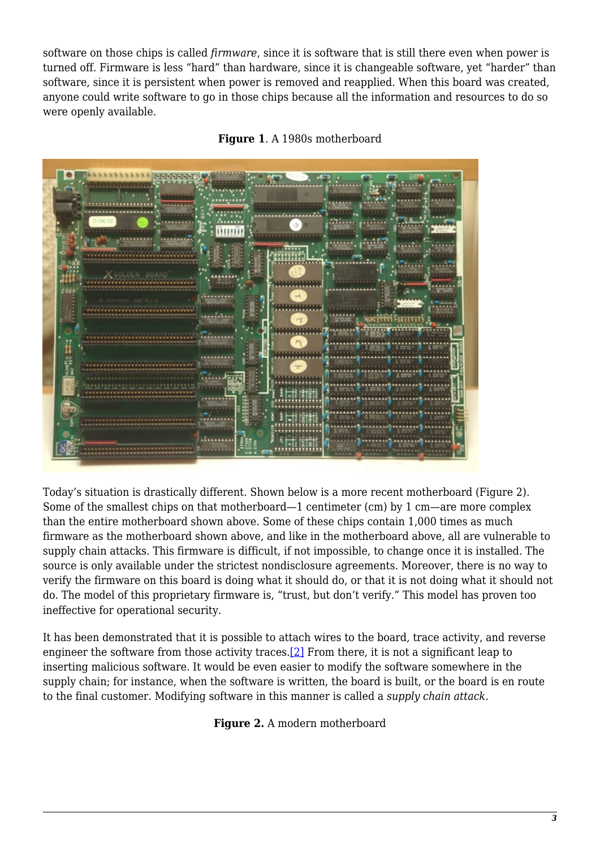software on those chips is called *firmware*, since it is software that is still there even when power is turned off. Firmware is less "hard" than hardware, since it is changeable software, yet "harder" than software, since it is persistent when power is removed and reapplied. When this board was created, anyone could write software to go in those chips because all the information and resources to do so were openly available.





Today's situation is drastically different. Shown below is a more recent motherboard (Figure 2). Some of the smallest chips on that motherboard—1 centimeter (cm) by 1 cm—are more complex than the entire motherboard shown above. Some of these chips contain 1,000 times as much firmware as the motherboard shown above, and like in the motherboard above, all are vulnerable to supply chain attacks. This firmware is difficult, if not impossible, to change once it is installed. The source is only available under the strictest nondisclosure agreements. Moreover, there is no way to verify the firmware on this board is doing what it should do, or that it is not doing what it should not do. The model of this proprietary firmware is, "trust, but don't verify." This model has proven too ineffective for operational security.

<span id="page-2-0"></span>It has been demonstrated that it is possible to attach wires to the board, trace activity, and reverse engineer the software from those activity traces.[\[2\]](#page-5-1) From there, it is not a significant leap to inserting malicious software. It would be even easier to modify the software somewhere in the supply chain; for instance, when the software is written, the board is built, or the board is en route to the final customer. Modifying software in this manner is called a *supply chain attack*.

**Figure 2.** A modern motherboard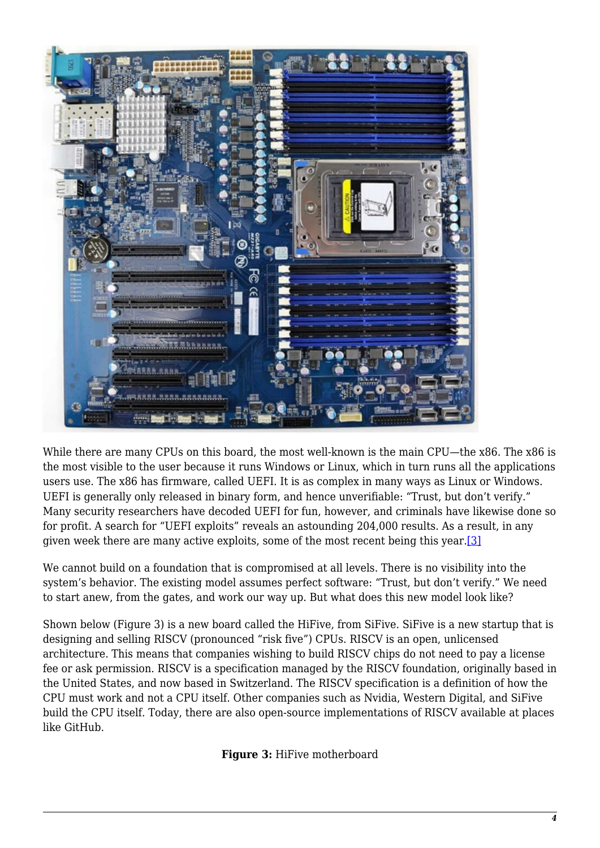

While there are many CPUs on this board, the most well-known is the main CPU—the x86. The x86 is the most visible to the user because it runs Windows or Linux, which in turn runs all the applications users use. The x86 has firmware, called UEFI. It is as complex in many ways as Linux or Windows. UEFI is generally only released in binary form, and hence unverifiable: "Trust, but don't verify." Many security researchers have decoded UEFI for fun, however, and criminals have likewise done so for profit. A search for "UEFI exploits" reveals an astounding 204,000 results. As a result, in any given week there are many active exploits, some of the most recent being this year.[\[3\]](#page-5-2)

<span id="page-3-0"></span>We cannot build on a foundation that is compromised at all levels. There is no visibility into the system's behavior. The existing model assumes perfect software: "Trust, but don't verify." We need to start anew, from the gates, and work our way up. But what does this new model look like?

Shown below (Figure 3) is a new board called the HiFive, from SiFive. SiFive is a new startup that is designing and selling RISCV (pronounced "risk five") CPUs. RISCV is an open, unlicensed architecture. This means that companies wishing to build RISCV chips do not need to pay a license fee or ask permission. RISCV is a specification managed by the RISCV foundation, originally based in the United States, and now based in Switzerland. The RISCV specification is a definition of how the CPU must work and not a CPU itself. Other companies such as Nvidia, Western Digital, and SiFive build the CPU itself. Today, there are also open-source implementations of RISCV available at places like GitHub.

**Figure 3:** HiFive motherboard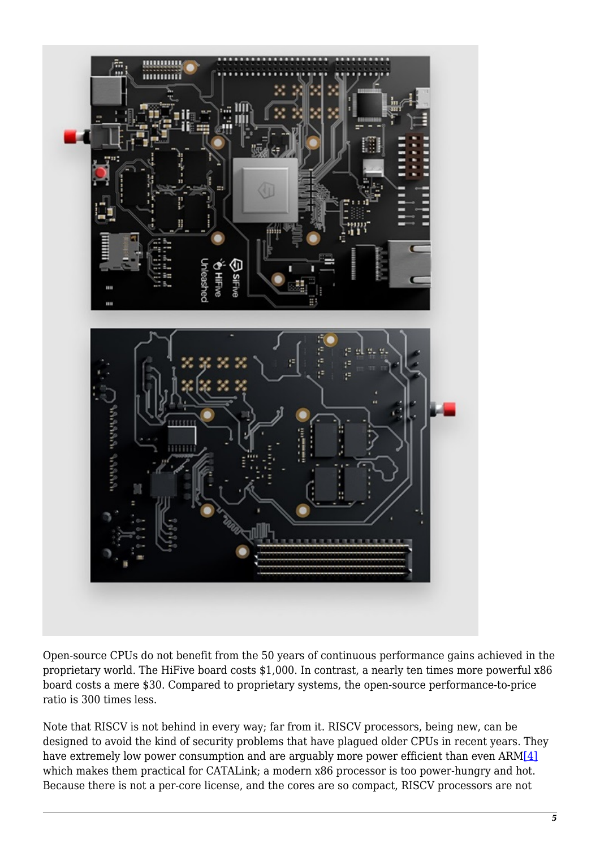

Open-source CPUs do not benefit from the 50 years of continuous performance gains achieved in the proprietary world. The HiFive board costs \$1,000. In contrast, a nearly ten times more powerful x86 board costs a mere \$30. Compared to proprietary systems, the open-source performance-to-price ratio is 300 times less.

<span id="page-4-0"></span>Note that RISCV is not behind in every way; far from it. RISCV processors, being new, can be designed to avoid the kind of security problems that have plagued older CPUs in recent years. They have extremely low power consumption and are arguably more power efficient than even ARM[\[4\]](#page-5-3) which makes them practical for CATALink; a modern x86 processor is too power-hungry and hot. Because there is not a per-core license, and the cores are so compact, RISCV processors are not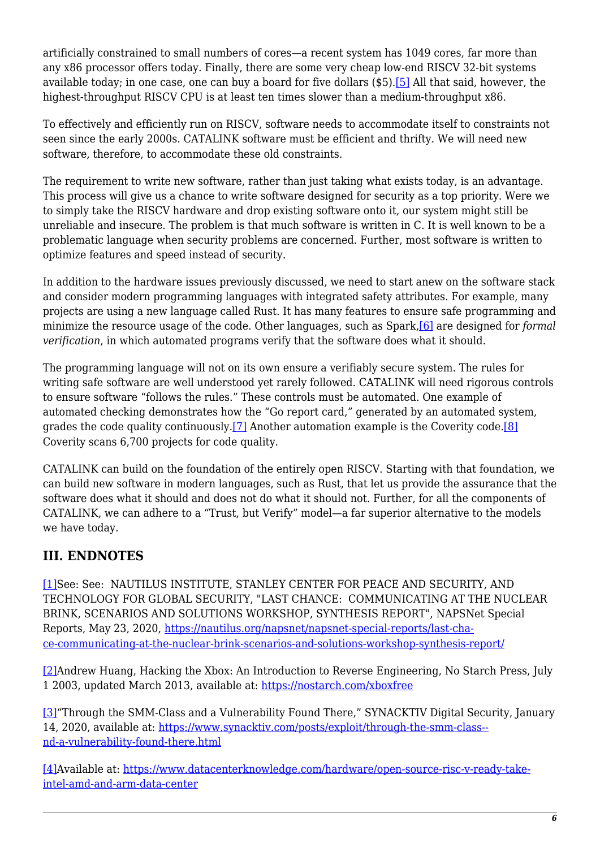<span id="page-5-5"></span>artificially constrained to small numbers of cores—a recent system has 1049 cores, far more than any x86 processor offers today. Finally, there are some very cheap low-end RISCV 32-bit systems available today; in one case, one can buy a board for five dollars (\$5).[\[5\]](#page-5-4) All that said, however, the highest-throughput RISCV CPU is at least ten times slower than a medium-throughput x86.

To effectively and efficiently run on RISCV, software needs to accommodate itself to constraints not seen since the early 2000s. CATALINK software must be efficient and thrifty. We will need new software, therefore, to accommodate these old constraints.

The requirement to write new software, rather than just taking what exists today, is an advantage. This process will give us a chance to write software designed for security as a top priority. Were we to simply take the RISCV hardware and drop existing software onto it, our system might still be unreliable and insecure. The problem is that much software is written in C. It is well known to be a problematic language when security problems are concerned. Further, most software is written to optimize features and speed instead of security.

In addition to the hardware issues previously discussed, we need to start anew on the software stack and consider modern programming languages with integrated safety attributes. For example, many projects are using a new language called Rust. It has many features to ensure safe programming and minimize the resource usage of the code. Other languages, such as Spark[,\[6\]](#page-6-0) are designed for *formal verification*, in which automated programs verify that the software does what it should.

<span id="page-5-6"></span>The programming language will not on its own ensure a verifiably secure system. The rules for writing safe software are well understood yet rarely followed. CATALINK will need rigorous controls to ensure software "follows the rules." These controls must be automated. One example of automated checking demonstrates how the "Go report card," generated by an automated system, grades the code quality continuously.[\[7\]](#page-6-1) Another automation example is the Coverity code[.\[8\]](#page-6-2) Coverity scans 6,700 projects for code quality.

<span id="page-5-7"></span>CATALINK can build on the foundation of the entirely open RISCV. Starting with that foundation, we can build new software in modern languages, such as Rust, that let us provide the assurance that the software does what it should and does not do what it should not. Further, for all the components of CATALINK, we can adhere to a "Trust, but Verify" model—a far superior alternative to the models we have today.

## **III. ENDNOTES**

<span id="page-5-0"></span>[\[1\]S](#page-1-0)ee: See: NAUTILUS INSTITUTE, STANLEY CENTER FOR PEACE AND SECURITY, AND TECHNOLOGY FOR GLOBAL SECURITY, "LAST CHANCE: COMMUNICATING AT THE NUCLEAR BRINK, SCENARIOS AND SOLUTIONS WORKSHOP, SYNTHESIS REPORT", NAPSNet Special Reports, May 23, 2020, [https://nautilus.org/napsnet/napsnet-special-reports/last-cha](https://nautilus.org/napsnet/napsnet-special-reports/last-chance-communicating-at-the-nuclear-brink-scenarios-and-solutions-workshop-synthesis-report/)[ce-communicating-at-the-nuclear-brink-scenarios-and-solutions-workshop-synthesis-report/](https://nautilus.org/napsnet/napsnet-special-reports/last-chance-communicating-at-the-nuclear-brink-scenarios-and-solutions-workshop-synthesis-report/)

<span id="page-5-1"></span>[\[2\]A](#page-2-0)ndrew Huang, Hacking the Xbox: An Introduction to Reverse Engineering, No Starch Press, July 1 2003, updated March 2013, available at:<https://nostarch.com/xboxfree>

<span id="page-5-2"></span>[\[3\]"](#page-3-0)Through the SMM-Class and a Vulnerability Found There," SYNACKTIV Digital Security, January 14, 2020, available at: [https://www.synacktiv.com/posts/exploit/through-the-smm-class-](https://www.synacktiv.com/posts/exploit/through-the-smm-class-and-a-vulnerability-found-there.html) [nd-a-vulnerability-found-there.html](https://www.synacktiv.com/posts/exploit/through-the-smm-class-and-a-vulnerability-found-there.html)

<span id="page-5-4"></span><span id="page-5-3"></span>[\[4\]A](#page-4-0)vailable at: [https://www.datacenterknowledge.com/hardware/open-source-risc-v-ready-take](https://www.datacenterknowledge.com/hardware/open-source-risc-v-ready-take-intel-amd-and-arm-data-center)[intel-amd-and-arm-data-center](https://www.datacenterknowledge.com/hardware/open-source-risc-v-ready-take-intel-amd-and-arm-data-center)